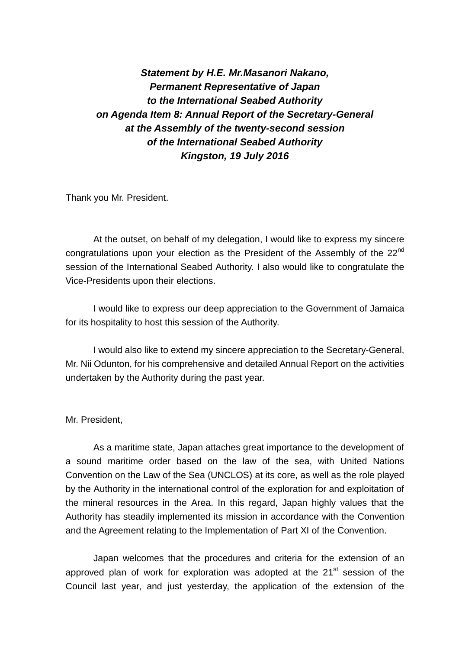*Statement by H.E. Mr.Masanori Nakano, Permanent Representative of Japan to the International Seabed Authority on Agenda Item 8: Annual Report of the Secretary-General at the Assembly of the twenty-second session of the International Seabed Authority Kingston, 19 July 2016*

Thank you Mr. President.

At the outset, on behalf of my delegation, I would like to express my sincere congratulations upon your election as the President of the Assembly of the  $22<sup>nd</sup>$ session of the International Seabed Authority. I also would like to congratulate the Vice-Presidents upon their elections.

I would like to express our deep appreciation to the Government of Jamaica for its hospitality to host this session of the Authority.

I would also like to extend my sincere appreciation to the Secretary-General, Mr. Nii Odunton, for his comprehensive and detailed Annual Report on the activities undertaken by the Authority during the past year.

## Mr. President,

As a maritime state, Japan attaches great importance to the development of a sound maritime order based on the law of the sea, with United Nations Convention on the Law of the Sea (UNCLOS) at its core, as well as the role played by the Authority in the international control of the exploration for and exploitation of the mineral resources in the Area. In this regard, Japan highly values that the Authority has steadily implemented its mission in accordance with the Convention and the Agreement relating to the Implementation of Part XI of the Convention.

Japan welcomes that the procedures and criteria for the extension of an approved plan of work for exploration was adopted at the  $21<sup>st</sup>$  session of the Council last year, and just yesterday, the application of the extension of the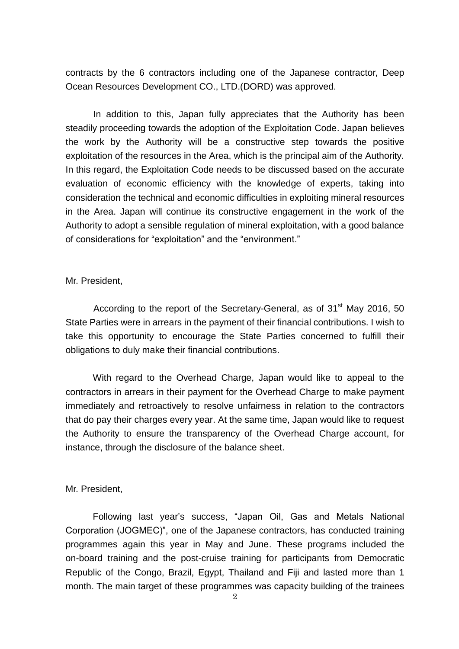contracts by the 6 contractors including one of the Japanese contractor, Deep Ocean Resources Development CO., LTD.(DORD) was approved.

In addition to this, Japan fully appreciates that the Authority has been steadily proceeding towards the adoption of the Exploitation Code. Japan believes the work by the Authority will be a constructive step towards the positive exploitation of the resources in the Area, which is the principal aim of the Authority. In this regard, the Exploitation Code needs to be discussed based on the accurate evaluation of economic efficiency with the knowledge of experts, taking into consideration the technical and economic difficulties in exploiting mineral resources in the Area. Japan will continue its constructive engagement in the work of the Authority to adopt a sensible regulation of mineral exploitation, with a good balance of considerations for "exploitation" and the "environment."

## Mr. President,

According to the report of the Secretary-General, as of  $31<sup>st</sup>$  May 2016, 50 State Parties were in arrears in the payment of their financial contributions. I wish to take this opportunity to encourage the State Parties concerned to fulfill their obligations to duly make their financial contributions.

With regard to the Overhead Charge, Japan would like to appeal to the contractors in arrears in their payment for the Overhead Charge to make payment immediately and retroactively to resolve unfairness in relation to the contractors that do pay their charges every year. At the same time, Japan would like to request the Authority to ensure the transparency of the Overhead Charge account, for instance, through the disclosure of the balance sheet.

## Mr. President,

Following last year's success, "Japan Oil, Gas and Metals National Corporation (JOGMEC)", one of the Japanese contractors, has conducted training programmes again this year in May and June. These programs included the on-board training and the post-cruise training for participants from Democratic Republic of the Congo, Brazil, Egypt, Thailand and Fiji and lasted more than 1 month. The main target of these programmes was capacity building of the trainees